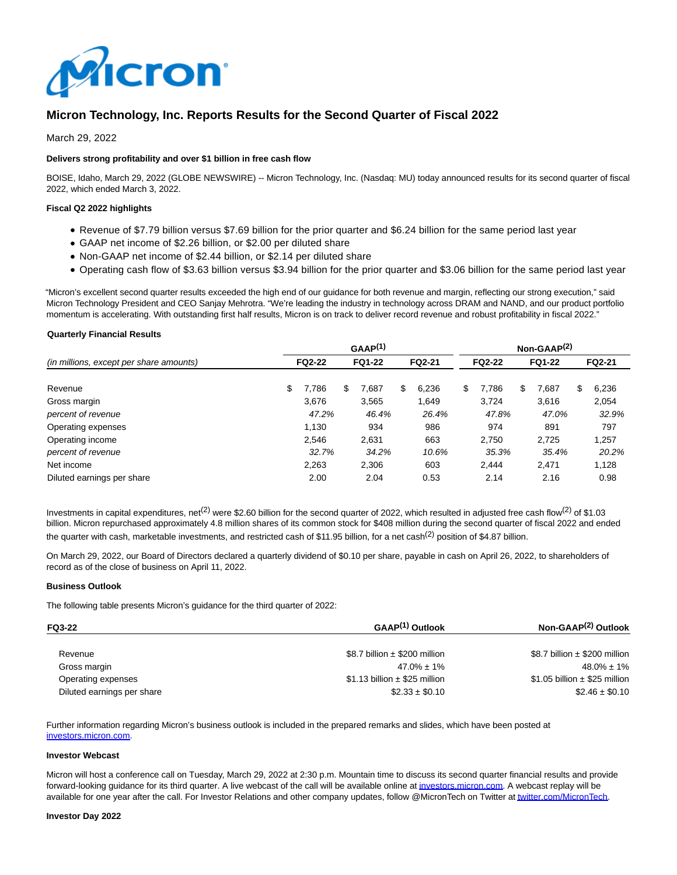

# **Micron Technology, Inc. Reports Results for the Second Quarter of Fiscal 2022**

March 29, 2022

## **Delivers strong profitability and over \$1 billion in free cash flow**

BOISE, Idaho, March 29, 2022 (GLOBE NEWSWIRE) -- Micron Technology, Inc. (Nasdaq: MU) today announced results for its second quarter of fiscal 2022, which ended March 3, 2022.

#### **Fiscal Q2 2022 highlights**

- Revenue of \$7.79 billion versus \$7.69 billion for the prior quarter and \$6.24 billion for the same period last year
- GAAP net income of \$2.26 billion, or \$2.00 per diluted share
- Non-GAAP net income of \$2.44 billion, or \$2.14 per diluted share
- Operating cash flow of \$3.63 billion versus \$3.94 billion for the prior quarter and \$3.06 billion for the same period last year

"Micron's excellent second quarter results exceeded the high end of our guidance for both revenue and margin, reflecting our strong execution," said Micron Technology President and CEO Sanjay Mehrotra. "We're leading the industry in technology across DRAM and NAND, and our product portfolio momentum is accelerating. With outstanding first half results, Micron is on track to deliver record revenue and robust profitability in fiscal 2022."

#### **Quarterly Financial Results**

|                                         | GAAP <sup>(1)</sup> |               |    |               | $Non-GAAP(2)$ |    |               |     |               |    |               |
|-----------------------------------------|---------------------|---------------|----|---------------|---------------|----|---------------|-----|---------------|----|---------------|
| (in millions, except per share amounts) |                     | <b>FQ2-22</b> |    | <b>FQ1-22</b> | <b>FQ2-21</b> |    | <b>FQ2-22</b> |     | <b>FQ1-22</b> |    | <b>FQ2-21</b> |
| Revenue                                 | \$                  | 7.786         | \$ | .687          | \$<br>6.236   | \$ | 7.786         | \$. | 7.687         | \$ | 6,236         |
| Gross margin                            |                     | 3.676         |    | 3.565         | 1.649         |    | 3.724         |     | 3.616         |    | 2,054         |
| percent of revenue                      |                     | 47.2%         |    | 46.4%         | 26.4%         |    | 47.8%         |     | 47.0%         |    | 32.9%         |
| Operating expenses                      |                     | 1.130         |    | 934           | 986           |    | 974           |     | 891           |    | 797           |
| Operating income                        |                     | 2.546         |    | 2.631         | 663           |    | 2,750         |     | 2.725         |    | 1,257         |
| percent of revenue                      |                     | 32.7%         |    | 34.2%         | 10.6%         |    | 35.3%         |     | 35.4%         |    | 20.2%         |
| Net income                              |                     | 2,263         |    | 2.306         | 603           |    | 2.444         |     | 2,471         |    | 1,128         |
| Diluted earnings per share              |                     | 2.00          |    | 2.04          | 0.53          |    | 2.14          |     | 2.16          |    | 0.98          |

Investments in capital expenditures, net<sup>(2)</sup> were \$2.60 billion for the second quarter of 2022, which resulted in adjusted free cash flow<sup>(2)</sup> of \$1.03 billion. Micron repurchased approximately 4.8 million shares of its common stock for \$408 million during the second quarter of fiscal 2022 and ended the quarter with cash, marketable investments, and restricted cash of \$11.95 billion, for a net cash<sup>(2)</sup> position of \$4.87 billion.

On March 29, 2022, our Board of Directors declared a quarterly dividend of \$0.10 per share, payable in cash on April 26, 2022, to shareholders of record as of the close of business on April 11, 2022.

#### **Business Outlook**

The following table presents Micron's guidance for the third quarter of 2022:

| FQ3-22                     | GAAP <sup>(1)</sup> Outlook       | Non-GAAP <sup>(2)</sup> Outlook   |
|----------------------------|-----------------------------------|-----------------------------------|
|                            |                                   |                                   |
| Revenue                    | \$8.7 billion $\pm$ \$200 million | \$8.7 billion $\pm$ \$200 million |
| Gross margin               | $47.0\% \pm 1\%$                  | $48.0\% \pm 1\%$                  |
| Operating expenses         | \$1.13 billion $\pm$ \$25 million | \$1.05 billion $\pm$ \$25 million |
| Diluted earnings per share | $$2.33 \pm $0.10$                 | $$2.46 \pm $0.10$                 |

Further information regarding Micron's business outlook is included in the prepared remarks and slides, which have been posted at [investors.micron.com.](https://www.globenewswire.com/Tracker?data=4-TQCZ4qOoAU2gJ1WFmRdQIX0hOfmE2jPtMYXKwHVYg7yIuMMjEpg4qrNOjq0_jI0Hl3icK42mZXgfyuAsi_3mg4aLXSiZfiTm0yrFL9ILs=)

#### **Investor Webcast**

Micron will host a conference call on Tuesday, March 29, 2022 at 2:30 p.m. Mountain time to discuss its second quarter financial results and provide forward-looking guidance for its third quarter. A live webcast of the call will be available online a[t investors.micron.com.](https://www.globenewswire.com/Tracker?data=4-TQCZ4qOoAU2gJ1WFmRdZq5c-lcLoND-G4x7TL6QnevXw0S1kWMmHikWtMgVFT3Tn_AHeFNupgbrZ-iyNJtOEGZ5tLHPKSHikHVCceIaIE=) A webcast replay will be available for one year after the call. For Investor Relations and other company updates, follow @MicronTech on Twitter a[t twitter.com/MicronTech.](https://www.globenewswire.com/Tracker?data=dMeG27fV2yKx4RQsXRs0mA_PaGLYKXvMkVH-CSvobEKtTopcHC0UUAcBOt4ecBcu4EEDNdMKoGoOUaNaHSJ7Smw4_e7j3zsIXFXHEp7Vk_o=)

#### **Investor Day 2022**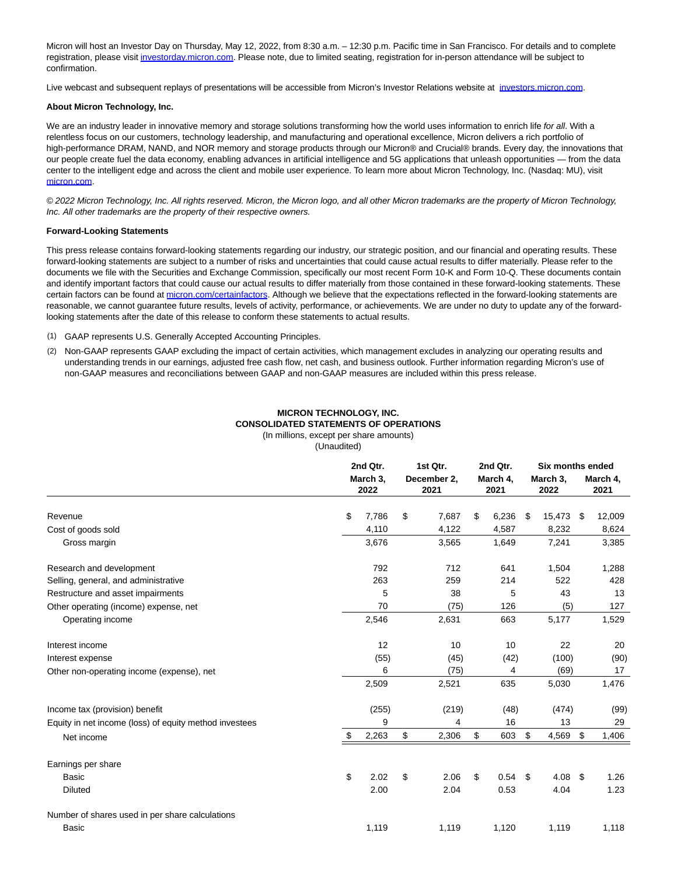Micron will host an Investor Day on Thursday, May 12, 2022, from 8:30 a.m. – 12:30 p.m. Pacific time in San Francisco. For details and to complete registration, please visi[t investorday.micron.com.](https://www.globenewswire.com/Tracker?data=4-TQCZ4qOoAU2gJ1WFmRdRo-F_Homz73fPkyeszp7RqNJQvtKVYMJ342Qxr_N3r0rTdrK8LCkyWQLryxbzH0k10jdD-7Xx_CY_oCMce61qY=) Please note, due to limited seating, registration for in-person attendance will be subject to confirmation.

Live webcast and subsequent replays of presentations will be accessible from Micron's Investor Relations website at [investors.micron.com.](https://www.globenewswire.com/Tracker?data=4-TQCZ4qOoAU2gJ1WFmRdYBU64CpnxylX-1ddLE7xV9-dRWBsxXVD5fIzoIrek9gWsKLscsVH-ikaFPYOxlrbNiHN5Fnzo_u4zpMJqwI-E0=)

#### **About Micron Technology, Inc.**

We are an industry leader in innovative memory and storage solutions transforming how the world uses information to enrich life for all. With a relentless focus on our customers, technology leadership, and manufacturing and operational excellence, Micron delivers a rich portfolio of high-performance DRAM, NAND, and NOR memory and storage products through our Micron® and Crucial® brands. Every day, the innovations that our people create fuel the data economy, enabling advances in artificial intelligence and 5G applications that unleash opportunities — from the data center to the intelligent edge and across the client and mobile user experience. To learn more about Micron Technology, Inc. (Nasdaq: MU), visit [micron.com.](https://www.globenewswire.com/Tracker?data=9Vwbalad7-4Eb6r16krHCFpzQfT34ONg2uy2VL58kcBhVlFQ6pgenS1dUasnz85HmUwW_SciMwPcTOu0U3J1mg==)

© 2022 Micron Technology, Inc. All rights reserved. Micron, the Micron logo, and all other Micron trademarks are the property of Micron Technology, Inc. All other trademarks are the property of their respective owners.

#### **Forward-Looking Statements**

This press release contains forward-looking statements regarding our industry, our strategic position, and our financial and operating results. These forward-looking statements are subject to a number of risks and uncertainties that could cause actual results to differ materially. Please refer to the documents we file with the Securities and Exchange Commission, specifically our most recent Form 10-K and Form 10-Q. These documents contain and identify important factors that could cause our actual results to differ materially from those contained in these forward-looking statements. These certain factors can be found at [micron.com/certainfactors.](https://www.globenewswire.com/Tracker?data=9Vwbalad7-4Eb6r16krHCAa0-f9uOB16o2elMLsjc_ovMwCUcPQViDbhXkEFQaqJ5nIWnZWgqMAbjb_sP176bkup4Y372Q4BG35c4SAXGBzdsao1aHO8_GP42qDBau3C) Although we believe that the expectations reflected in the forward-looking statements are reasonable, we cannot guarantee future results, levels of activity, performance, or achievements. We are under no duty to update any of the forwardlooking statements after the date of this release to conform these statements to actual results.

- (1) GAAP represents U.S. Generally Accepted Accounting Principles.
- (2) Non-GAAP represents GAAP excluding the impact of certain activities, which management excludes in analyzing our operating results and understanding trends in our earnings, adjusted free cash flow, net cash, and business outlook. Further information regarding Micron's use of non-GAAP measures and reconciliations between GAAP and non-GAAP measures are included within this press release.

### **MICRON TECHNOLOGY, INC. CONSOLIDATED STATEMENTS OF OPERATIONS**

(In millions, except per share amounts)

(Unaudited)

|                                                        | 2nd Qtr.         |    | 1st Qtr.            |    | 2nd Qtr.         |     | <b>Six months ended</b> |     |                  |
|--------------------------------------------------------|------------------|----|---------------------|----|------------------|-----|-------------------------|-----|------------------|
|                                                        | March 3,<br>2022 |    | December 2,<br>2021 |    | March 4,<br>2021 |     | March 3,<br>2022        |     | March 4,<br>2021 |
| Revenue                                                | \$<br>7,786      | \$ | 7,687               | \$ | 6,236            | \$  | 15,473                  | \$  | 12,009           |
| Cost of goods sold                                     | 4,110            |    | 4,122               |    | 4,587            |     | 8,232                   |     | 8,624            |
| Gross margin                                           | 3,676            |    | 3,565               |    | 1,649            |     | 7,241                   |     | 3,385            |
| Research and development                               | 792              |    | 712                 |    | 641              |     | 1,504                   |     | 1,288            |
| Selling, general, and administrative                   | 263              |    | 259                 |    | 214              |     | 522                     |     | 428              |
| Restructure and asset impairments                      | 5                |    | 38                  |    | 5                |     | 43                      |     | 13               |
| Other operating (income) expense, net                  | 70               |    | (75)                |    | 126              |     | (5)                     |     | 127              |
| Operating income                                       | 2,546            |    | 2,631               |    | 663              |     | 5,177                   |     | 1,529            |
| Interest income                                        | 12               |    | 10                  |    | 10               |     | 22                      |     | 20               |
| Interest expense                                       | (55)             |    | (45)                |    | (42)             |     | (100)                   |     | (90)             |
| Other non-operating income (expense), net              | 6                |    | (75)                |    | 4                |     | (69)                    |     | 17               |
|                                                        | 2,509            |    | 2,521               |    | 635              |     | 5,030                   |     | 1,476            |
| Income tax (provision) benefit                         | (255)            |    | (219)               |    | (48)             |     | (474)                   |     | (99)             |
| Equity in net income (loss) of equity method investees | 9                |    | 4                   |    | 16               |     | 13                      |     | 29               |
| Net income                                             | 2,263            | \$ | 2,306               | \$ | 603              | -\$ | 4,569                   | -\$ | 1,406            |
| Earnings per share                                     |                  |    |                     |    |                  |     |                         |     |                  |
| Basic                                                  | \$<br>2.02       | \$ | 2.06                | \$ | $0.54$ \$        |     | 4.08 <sup>5</sup>       |     | 1.26             |
| <b>Diluted</b>                                         | 2.00             |    | 2.04                |    | 0.53             |     | 4.04                    |     | 1.23             |
| Number of shares used in per share calculations        |                  |    |                     |    |                  |     |                         |     |                  |
| Basic                                                  | 1,119            |    | 1,119               |    | 1,120            |     | 1,119                   |     | 1,118            |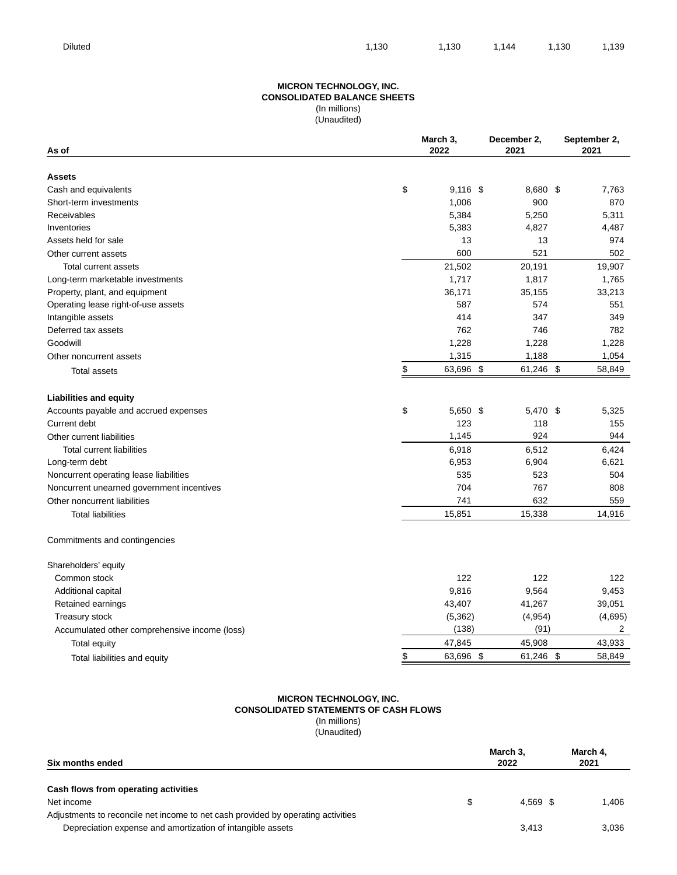### **MICRON TECHNOLOGY, INC. CONSOLIDATED BALANCE SHEETS** (In millions) (Unaudited)

| As of                                         | March 3,<br>2022 | December 2,<br>2021 | September 2,<br>2021 |
|-----------------------------------------------|------------------|---------------------|----------------------|
| <b>Assets</b>                                 |                  |                     |                      |
| Cash and equivalents                          | \$<br>$9,116$ \$ | 8,680 \$            | 7,763                |
| Short-term investments                        | 1,006            | 900                 | 870                  |
| Receivables                                   | 5,384            | 5,250               | 5,311                |
| Inventories                                   | 5,383            | 4,827               | 4,487                |
| Assets held for sale                          | 13               | 13                  | 974                  |
| Other current assets                          | 600              | 521                 | 502                  |
| Total current assets                          | 21,502           | 20,191              | 19,907               |
| Long-term marketable investments              | 1,717            | 1,817               | 1,765                |
| Property, plant, and equipment                | 36,171           | 35,155              | 33,213               |
| Operating lease right-of-use assets           | 587              | 574                 | 551                  |
| Intangible assets                             | 414              | 347                 | 349                  |
| Deferred tax assets                           | 762              | 746                 | 782                  |
| Goodwill                                      | 1,228            | 1,228               | 1,228                |
| Other noncurrent assets                       | 1,315            | 1,188               | 1,054                |
| <b>Total assets</b>                           | \$<br>63,696 \$  | 61,246 \$           | 58,849               |
| <b>Liabilities and equity</b>                 |                  |                     |                      |
| Accounts payable and accrued expenses         | \$<br>$5,650$ \$ | 5,470 \$            | 5,325                |
| Current debt                                  | 123              | 118                 | 155                  |
| Other current liabilities                     | 1,145            | 924                 | 944                  |
| <b>Total current liabilities</b>              | 6,918            | 6,512               | 6,424                |
| Long-term debt                                | 6,953            | 6,904               | 6,621                |
| Noncurrent operating lease liabilities        | 535              | 523                 | 504                  |
| Noncurrent unearned government incentives     | 704              | 767                 | 808                  |
| Other noncurrent liabilities                  | 741              | 632                 | 559                  |
| <b>Total liabilities</b>                      | 15,851           | 15,338              | 14,916               |
| Commitments and contingencies                 |                  |                     |                      |
| Shareholders' equity                          |                  |                     |                      |
| Common stock                                  | 122              | 122                 | 122                  |
| Additional capital                            | 9,816            | 9,564               | 9,453                |
| Retained earnings                             | 43,407           | 41,267              | 39,051               |
| <b>Treasury stock</b>                         | (5,362)          | (4,954)             | (4,695)              |
| Accumulated other comprehensive income (loss) | (138)            | (91)                | 2                    |
| <b>Total equity</b>                           | 47,845           | 45,908              | 43,933               |
| Total liabilities and equity                  | \$<br>63,696 \$  | 61,246 \$           | 58,849               |

### **MICRON TECHNOLOGY, INC. CONSOLIDATED STATEMENTS OF CASH FLOWS** (In millions)

(Unaudited)

| Six months ended                                                                                                                               |    | March 3,<br>2022 | March 4.<br>2021 |  |
|------------------------------------------------------------------------------------------------------------------------------------------------|----|------------------|------------------|--|
| Cash flows from operating activities                                                                                                           |    |                  |                  |  |
| Net income                                                                                                                                     | \$ | 4.569 \$         | 1.406            |  |
| Adjustments to reconcile net income to net cash provided by operating activities<br>Depreciation expense and amortization of intangible assets |    | 3.413            | 3.036            |  |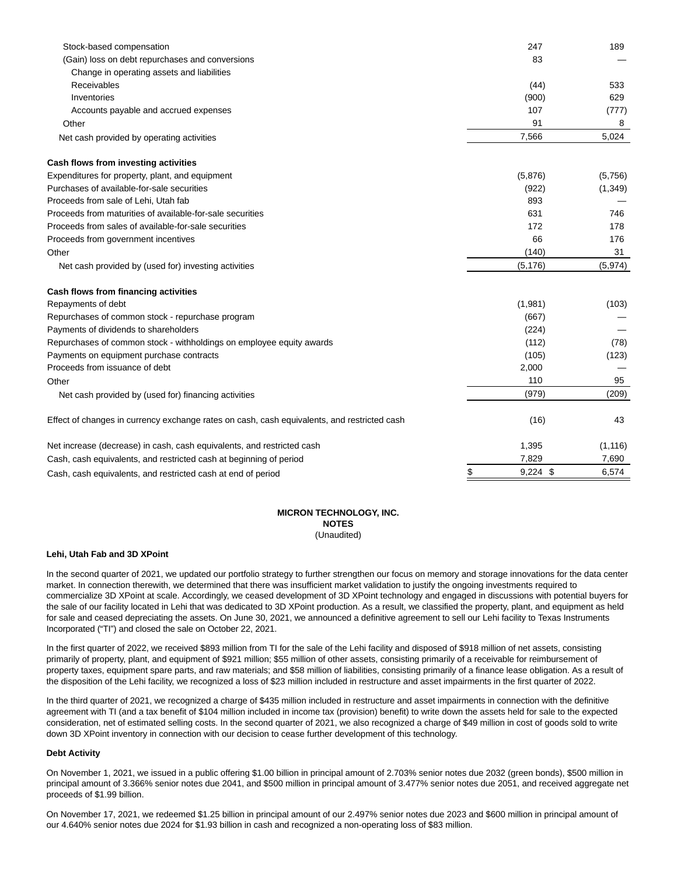| (Gain) loss on debt repurchases and conversions<br>83<br>Change in operating assets and liabilities<br>533<br>Receivables<br>(44)<br>629<br>Inventories<br>(900)<br>Accounts payable and accrued expenses<br>107<br>(777)<br>91<br>Other<br>8<br>7,566<br>5,024<br>Net cash provided by operating activities<br>Cash flows from investing activities<br>Expenditures for property, plant, and equipment<br>(5,876)<br>(5,756)<br>Purchases of available-for-sale securities<br>(922)<br>(1,349)<br>Proceeds from sale of Lehi, Utah fab<br>893<br>Proceeds from maturities of available-for-sale securities<br>631<br>746<br>Proceeds from sales of available-for-sale securities<br>172<br>178<br>66<br>176<br>Proceeds from government incentives<br>(140)<br>31<br>Other<br>(5, 176)<br>(5,974)<br>Net cash provided by (used for) investing activities<br>Cash flows from financing activities<br>Repayments of debt<br>(1,981)<br>(103)<br>Repurchases of common stock - repurchase program<br>(667)<br>Payments of dividends to shareholders<br>(224)<br>Repurchases of common stock - withholdings on employee equity awards<br>(78)<br>(112)<br>Payments on equipment purchase contracts<br>(105)<br>(123)<br>Proceeds from issuance of debt<br>2,000<br>110<br>95<br>Other<br>(979)<br>(209)<br>Net cash provided by (used for) financing activities<br>Effect of changes in currency exchange rates on cash, cash equivalents, and restricted cash<br>(16)<br>43<br>Net increase (decrease) in cash, cash equivalents, and restricted cash<br>1,395<br>(1, 116)<br>7,829<br>7,690<br>Cash, cash equivalents, and restricted cash at beginning of period<br>\$<br>$9,224$ \$<br>6,574<br>Cash, cash equivalents, and restricted cash at end of period | Stock-based compensation | 247 | 189 |
|----------------------------------------------------------------------------------------------------------------------------------------------------------------------------------------------------------------------------------------------------------------------------------------------------------------------------------------------------------------------------------------------------------------------------------------------------------------------------------------------------------------------------------------------------------------------------------------------------------------------------------------------------------------------------------------------------------------------------------------------------------------------------------------------------------------------------------------------------------------------------------------------------------------------------------------------------------------------------------------------------------------------------------------------------------------------------------------------------------------------------------------------------------------------------------------------------------------------------------------------------------------------------------------------------------------------------------------------------------------------------------------------------------------------------------------------------------------------------------------------------------------------------------------------------------------------------------------------------------------------------------------------------------------------------------------------------------------------------------------------------------------|--------------------------|-----|-----|
|                                                                                                                                                                                                                                                                                                                                                                                                                                                                                                                                                                                                                                                                                                                                                                                                                                                                                                                                                                                                                                                                                                                                                                                                                                                                                                                                                                                                                                                                                                                                                                                                                                                                                                                                                                |                          |     |     |
|                                                                                                                                                                                                                                                                                                                                                                                                                                                                                                                                                                                                                                                                                                                                                                                                                                                                                                                                                                                                                                                                                                                                                                                                                                                                                                                                                                                                                                                                                                                                                                                                                                                                                                                                                                |                          |     |     |
|                                                                                                                                                                                                                                                                                                                                                                                                                                                                                                                                                                                                                                                                                                                                                                                                                                                                                                                                                                                                                                                                                                                                                                                                                                                                                                                                                                                                                                                                                                                                                                                                                                                                                                                                                                |                          |     |     |
|                                                                                                                                                                                                                                                                                                                                                                                                                                                                                                                                                                                                                                                                                                                                                                                                                                                                                                                                                                                                                                                                                                                                                                                                                                                                                                                                                                                                                                                                                                                                                                                                                                                                                                                                                                |                          |     |     |
|                                                                                                                                                                                                                                                                                                                                                                                                                                                                                                                                                                                                                                                                                                                                                                                                                                                                                                                                                                                                                                                                                                                                                                                                                                                                                                                                                                                                                                                                                                                                                                                                                                                                                                                                                                |                          |     |     |
|                                                                                                                                                                                                                                                                                                                                                                                                                                                                                                                                                                                                                                                                                                                                                                                                                                                                                                                                                                                                                                                                                                                                                                                                                                                                                                                                                                                                                                                                                                                                                                                                                                                                                                                                                                |                          |     |     |
|                                                                                                                                                                                                                                                                                                                                                                                                                                                                                                                                                                                                                                                                                                                                                                                                                                                                                                                                                                                                                                                                                                                                                                                                                                                                                                                                                                                                                                                                                                                                                                                                                                                                                                                                                                |                          |     |     |
|                                                                                                                                                                                                                                                                                                                                                                                                                                                                                                                                                                                                                                                                                                                                                                                                                                                                                                                                                                                                                                                                                                                                                                                                                                                                                                                                                                                                                                                                                                                                                                                                                                                                                                                                                                |                          |     |     |
|                                                                                                                                                                                                                                                                                                                                                                                                                                                                                                                                                                                                                                                                                                                                                                                                                                                                                                                                                                                                                                                                                                                                                                                                                                                                                                                                                                                                                                                                                                                                                                                                                                                                                                                                                                |                          |     |     |
|                                                                                                                                                                                                                                                                                                                                                                                                                                                                                                                                                                                                                                                                                                                                                                                                                                                                                                                                                                                                                                                                                                                                                                                                                                                                                                                                                                                                                                                                                                                                                                                                                                                                                                                                                                |                          |     |     |
|                                                                                                                                                                                                                                                                                                                                                                                                                                                                                                                                                                                                                                                                                                                                                                                                                                                                                                                                                                                                                                                                                                                                                                                                                                                                                                                                                                                                                                                                                                                                                                                                                                                                                                                                                                |                          |     |     |
|                                                                                                                                                                                                                                                                                                                                                                                                                                                                                                                                                                                                                                                                                                                                                                                                                                                                                                                                                                                                                                                                                                                                                                                                                                                                                                                                                                                                                                                                                                                                                                                                                                                                                                                                                                |                          |     |     |
|                                                                                                                                                                                                                                                                                                                                                                                                                                                                                                                                                                                                                                                                                                                                                                                                                                                                                                                                                                                                                                                                                                                                                                                                                                                                                                                                                                                                                                                                                                                                                                                                                                                                                                                                                                |                          |     |     |
|                                                                                                                                                                                                                                                                                                                                                                                                                                                                                                                                                                                                                                                                                                                                                                                                                                                                                                                                                                                                                                                                                                                                                                                                                                                                                                                                                                                                                                                                                                                                                                                                                                                                                                                                                                |                          |     |     |
|                                                                                                                                                                                                                                                                                                                                                                                                                                                                                                                                                                                                                                                                                                                                                                                                                                                                                                                                                                                                                                                                                                                                                                                                                                                                                                                                                                                                                                                                                                                                                                                                                                                                                                                                                                |                          |     |     |
|                                                                                                                                                                                                                                                                                                                                                                                                                                                                                                                                                                                                                                                                                                                                                                                                                                                                                                                                                                                                                                                                                                                                                                                                                                                                                                                                                                                                                                                                                                                                                                                                                                                                                                                                                                |                          |     |     |
|                                                                                                                                                                                                                                                                                                                                                                                                                                                                                                                                                                                                                                                                                                                                                                                                                                                                                                                                                                                                                                                                                                                                                                                                                                                                                                                                                                                                                                                                                                                                                                                                                                                                                                                                                                |                          |     |     |
|                                                                                                                                                                                                                                                                                                                                                                                                                                                                                                                                                                                                                                                                                                                                                                                                                                                                                                                                                                                                                                                                                                                                                                                                                                                                                                                                                                                                                                                                                                                                                                                                                                                                                                                                                                |                          |     |     |
|                                                                                                                                                                                                                                                                                                                                                                                                                                                                                                                                                                                                                                                                                                                                                                                                                                                                                                                                                                                                                                                                                                                                                                                                                                                                                                                                                                                                                                                                                                                                                                                                                                                                                                                                                                |                          |     |     |
|                                                                                                                                                                                                                                                                                                                                                                                                                                                                                                                                                                                                                                                                                                                                                                                                                                                                                                                                                                                                                                                                                                                                                                                                                                                                                                                                                                                                                                                                                                                                                                                                                                                                                                                                                                |                          |     |     |
|                                                                                                                                                                                                                                                                                                                                                                                                                                                                                                                                                                                                                                                                                                                                                                                                                                                                                                                                                                                                                                                                                                                                                                                                                                                                                                                                                                                                                                                                                                                                                                                                                                                                                                                                                                |                          |     |     |
|                                                                                                                                                                                                                                                                                                                                                                                                                                                                                                                                                                                                                                                                                                                                                                                                                                                                                                                                                                                                                                                                                                                                                                                                                                                                                                                                                                                                                                                                                                                                                                                                                                                                                                                                                                |                          |     |     |
|                                                                                                                                                                                                                                                                                                                                                                                                                                                                                                                                                                                                                                                                                                                                                                                                                                                                                                                                                                                                                                                                                                                                                                                                                                                                                                                                                                                                                                                                                                                                                                                                                                                                                                                                                                |                          |     |     |
|                                                                                                                                                                                                                                                                                                                                                                                                                                                                                                                                                                                                                                                                                                                                                                                                                                                                                                                                                                                                                                                                                                                                                                                                                                                                                                                                                                                                                                                                                                                                                                                                                                                                                                                                                                |                          |     |     |
|                                                                                                                                                                                                                                                                                                                                                                                                                                                                                                                                                                                                                                                                                                                                                                                                                                                                                                                                                                                                                                                                                                                                                                                                                                                                                                                                                                                                                                                                                                                                                                                                                                                                                                                                                                |                          |     |     |
|                                                                                                                                                                                                                                                                                                                                                                                                                                                                                                                                                                                                                                                                                                                                                                                                                                                                                                                                                                                                                                                                                                                                                                                                                                                                                                                                                                                                                                                                                                                                                                                                                                                                                                                                                                |                          |     |     |
|                                                                                                                                                                                                                                                                                                                                                                                                                                                                                                                                                                                                                                                                                                                                                                                                                                                                                                                                                                                                                                                                                                                                                                                                                                                                                                                                                                                                                                                                                                                                                                                                                                                                                                                                                                |                          |     |     |
|                                                                                                                                                                                                                                                                                                                                                                                                                                                                                                                                                                                                                                                                                                                                                                                                                                                                                                                                                                                                                                                                                                                                                                                                                                                                                                                                                                                                                                                                                                                                                                                                                                                                                                                                                                |                          |     |     |
|                                                                                                                                                                                                                                                                                                                                                                                                                                                                                                                                                                                                                                                                                                                                                                                                                                                                                                                                                                                                                                                                                                                                                                                                                                                                                                                                                                                                                                                                                                                                                                                                                                                                                                                                                                |                          |     |     |

### **MICRON TECHNOLOGY, INC. NOTES** (Unaudited)

#### **Lehi, Utah Fab and 3D XPoint**

In the second quarter of 2021, we updated our portfolio strategy to further strengthen our focus on memory and storage innovations for the data center market. In connection therewith, we determined that there was insufficient market validation to justify the ongoing investments required to commercialize 3D XPoint at scale. Accordingly, we ceased development of 3D XPoint technology and engaged in discussions with potential buyers for the sale of our facility located in Lehi that was dedicated to 3D XPoint production. As a result, we classified the property, plant, and equipment as held for sale and ceased depreciating the assets. On June 30, 2021, we announced a definitive agreement to sell our Lehi facility to Texas Instruments Incorporated ("TI") and closed the sale on October 22, 2021.

In the first quarter of 2022, we received \$893 million from TI for the sale of the Lehi facility and disposed of \$918 million of net assets, consisting primarily of property, plant, and equipment of \$921 million; \$55 million of other assets, consisting primarily of a receivable for reimbursement of property taxes, equipment spare parts, and raw materials; and \$58 million of liabilities, consisting primarily of a finance lease obligation. As a result of the disposition of the Lehi facility, we recognized a loss of \$23 million included in restructure and asset impairments in the first quarter of 2022.

In the third quarter of 2021, we recognized a charge of \$435 million included in restructure and asset impairments in connection with the definitive agreement with TI (and a tax benefit of \$104 million included in income tax (provision) benefit) to write down the assets held for sale to the expected consideration, net of estimated selling costs. In the second quarter of 2021, we also recognized a charge of \$49 million in cost of goods sold to write down 3D XPoint inventory in connection with our decision to cease further development of this technology.

## **Debt Activity**

On November 1, 2021, we issued in a public offering \$1.00 billion in principal amount of 2.703% senior notes due 2032 (green bonds), \$500 million in principal amount of 3.366% senior notes due 2041, and \$500 million in principal amount of 3.477% senior notes due 2051, and received aggregate net proceeds of \$1.99 billion.

On November 17, 2021, we redeemed \$1.25 billion in principal amount of our 2.497% senior notes due 2023 and \$600 million in principal amount of our 4.640% senior notes due 2024 for \$1.93 billion in cash and recognized a non-operating loss of \$83 million.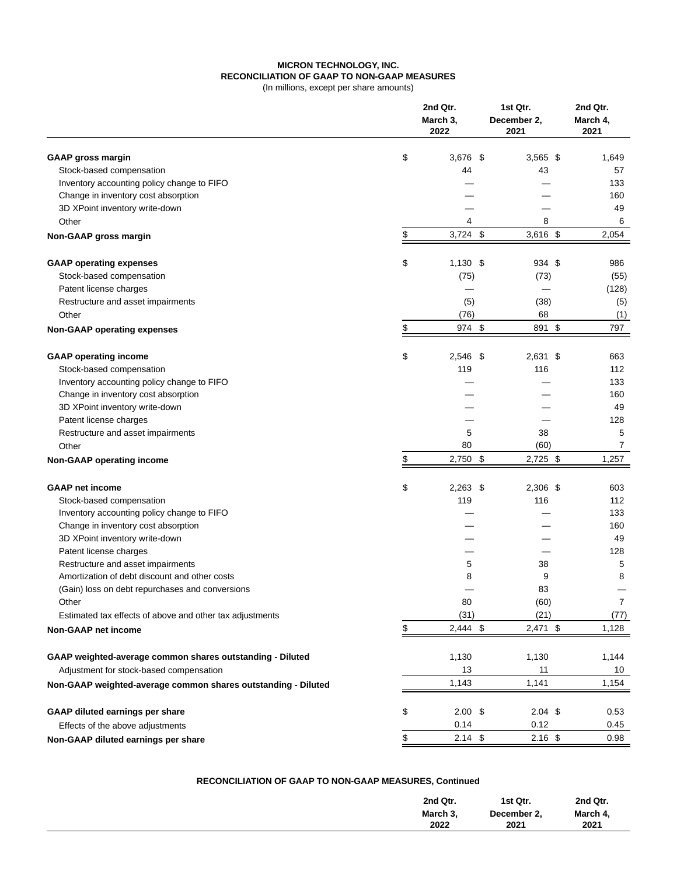# **MICRON TECHNOLOGY, INC. RECONCILIATION OF GAAP TO NON-GAAP MEASURES**

(In millions, except per share amounts)

|                                                               | 2nd Qtr.<br>March 3,<br>2022 | 1st Qtr.<br>December 2,<br>2021 | 2nd Qtr.<br>March 4,<br>2021 |
|---------------------------------------------------------------|------------------------------|---------------------------------|------------------------------|
| <b>GAAP gross margin</b>                                      | \$<br>$3,676$ \$             | $3,565$ \$                      | 1,649                        |
| Stock-based compensation                                      | 44                           | 43                              | 57                           |
| Inventory accounting policy change to FIFO                    |                              |                                 | 133                          |
| Change in inventory cost absorption                           |                              |                                 | 160                          |
| 3D XPoint inventory write-down                                |                              |                                 | 49                           |
| Other                                                         | 4                            | 8                               | 6                            |
| Non-GAAP gross margin                                         | \$<br>$3,724$ \$             | 3,616 \$                        | 2,054                        |
| <b>GAAP operating expenses</b>                                | \$<br>$1,130$ \$             | 934 \$                          | 986                          |
| Stock-based compensation                                      | (75)                         | (73)                            | (55)                         |
| Patent license charges                                        |                              |                                 | (128)                        |
| Restructure and asset impairments                             | (5)                          | (38)                            | (5)                          |
| Other                                                         | (76)                         | 68                              | (1)                          |
| <b>Non-GAAP operating expenses</b>                            | \$<br>974 \$                 | 891 \$                          | 797                          |
| <b>GAAP operating income</b>                                  | \$<br>2,546 \$               | $2,631$ \$                      | 663                          |
| Stock-based compensation                                      | 119                          | 116                             | 112                          |
| Inventory accounting policy change to FIFO                    |                              |                                 | 133                          |
| Change in inventory cost absorption                           |                              |                                 | 160                          |
| 3D XPoint inventory write-down                                |                              |                                 | 49                           |
| Patent license charges                                        |                              |                                 | 128                          |
| Restructure and asset impairments                             | 5                            | 38                              | 5                            |
| Other                                                         | 80                           | (60)                            | 7                            |
| Non-GAAP operating income                                     | \$<br>$2,750$ \$             | $2,725$ \$                      | 1,257                        |
| <b>GAAP</b> net income                                        | \$<br>$2,263$ \$             | $2,306$ \$                      | 603                          |
| Stock-based compensation                                      | 119                          | 116                             | 112                          |
| Inventory accounting policy change to FIFO                    |                              |                                 | 133                          |
| Change in inventory cost absorption                           |                              |                                 | 160                          |
| 3D XPoint inventory write-down                                |                              |                                 | 49                           |
| Patent license charges                                        |                              |                                 | 128                          |
| Restructure and asset impairments                             | 5                            | 38                              | 5                            |
| Amortization of debt discount and other costs                 | 8                            | 9                               | 8                            |
| (Gain) loss on debt repurchases and conversions               |                              | 83                              |                              |
| Other                                                         | 80                           | (60)                            | 7                            |
| Estimated tax effects of above and other tax adjustments      | (31)                         | (21)                            | (77)                         |
| Non-GAAP net income                                           | \$<br>2,444 \$               | 2,471 \$                        | 1,128                        |
| GAAP weighted-average common shares outstanding - Diluted     | 1,130                        | 1,130                           | 1,144                        |
| Adjustment for stock-based compensation                       | 13                           | 11                              | 10                           |
| Non-GAAP weighted-average common shares outstanding - Diluted | 1,143                        | 1,141                           | 1,154                        |
| GAAP diluted earnings per share                               | \$<br>$2.00$ \$              | $2.04$ \$                       | 0.53                         |
| Effects of the above adjustments                              | 0.14                         | 0.12                            | 0.45                         |
| Non-GAAP diluted earnings per share                           | \$<br>$2.14$ \$              | $2.16$ \$                       | 0.98                         |

### **RECONCILIATION OF GAAP TO NON-GAAP MEASURES, Continued**

| 2nd Qtr. | 1st Qtr.    | 2nd Qtr. |
|----------|-------------|----------|
| March 3, | December 2, | March 4, |
| 2022     | 2021        | 2021     |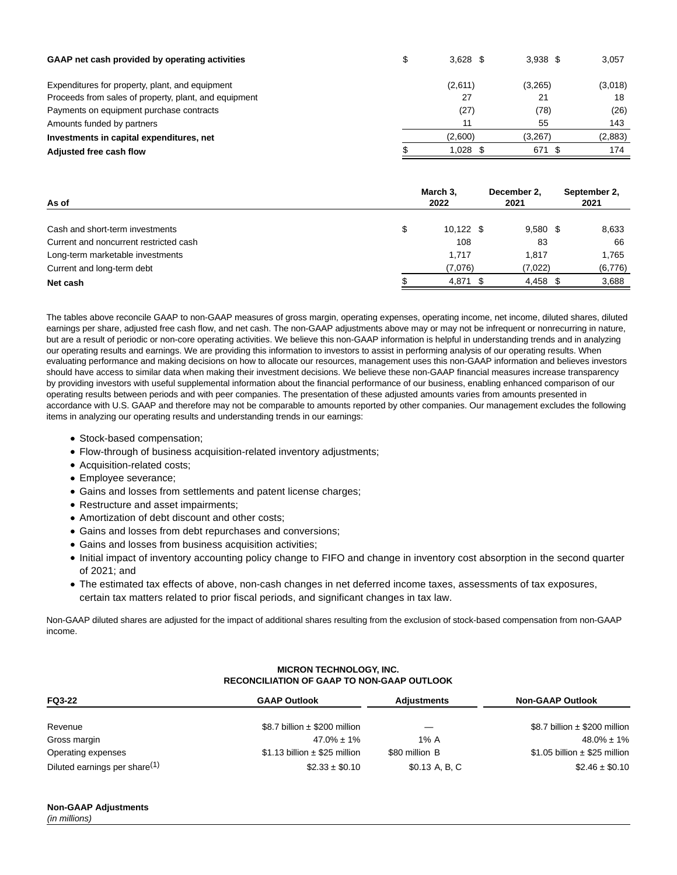| GAAP net cash provided by operating activities        | \$<br>$3.628$ \$ | $3.938$ \$ | 3,057   |
|-------------------------------------------------------|------------------|------------|---------|
| Expenditures for property, plant, and equipment       | (2,611)          | (3,265)    | (3,018) |
| Proceeds from sales of property, plant, and equipment | 27               | 21         | 18      |
| Payments on equipment purchase contracts              | (27)             | (78)       | (26)    |
| Amounts funded by partners                            | 11               | 55         | 143     |
| Investments in capital expenditures, net              | (2,600)          | (3,267)    | (2,883) |
| Adjusted free cash flow                               | $1.028$ \$       | 671        | 174     |

| As of                                  | March 3,<br>2022  | December 2,<br>2021 | September 2,<br>2021 |
|----------------------------------------|-------------------|---------------------|----------------------|
| Cash and short-term investments        | \$<br>$10.122$ \$ | $9,580$ \$          | 8,633                |
| Current and noncurrent restricted cash | 108               | 83                  | 66                   |
| Long-term marketable investments       | 1.717             | 1,817               | 1,765                |
| Current and long-term debt             | (7,076)           | (7,022)             | (6,776)              |
| Net cash                               | 4,871 \$          | $4,458$ \$          | 3,688                |

The tables above reconcile GAAP to non-GAAP measures of gross margin, operating expenses, operating income, net income, diluted shares, diluted earnings per share, adjusted free cash flow, and net cash. The non-GAAP adjustments above may or may not be infrequent or nonrecurring in nature, but are a result of periodic or non-core operating activities. We believe this non-GAAP information is helpful in understanding trends and in analyzing our operating results and earnings. We are providing this information to investors to assist in performing analysis of our operating results. When evaluating performance and making decisions on how to allocate our resources, management uses this non-GAAP information and believes investors should have access to similar data when making their investment decisions. We believe these non-GAAP financial measures increase transparency by providing investors with useful supplemental information about the financial performance of our business, enabling enhanced comparison of our operating results between periods and with peer companies. The presentation of these adjusted amounts varies from amounts presented in accordance with U.S. GAAP and therefore may not be comparable to amounts reported by other companies. Our management excludes the following items in analyzing our operating results and understanding trends in our earnings:

- Stock-based compensation;
- Flow-through of business acquisition-related inventory adjustments;
- Acquisition-related costs;
- Employee severance;
- Gains and losses from settlements and patent license charges;
- Restructure and asset impairments;
- Amortization of debt discount and other costs:
- Gains and losses from debt repurchases and conversions;
- Gains and losses from business acquisition activities;
- Initial impact of inventory accounting policy change to FIFO and change in inventory cost absorption in the second quarter of 2021; and
- The estimated tax effects of above, non-cash changes in net deferred income taxes, assessments of tax exposures, certain tax matters related to prior fiscal periods, and significant changes in tax law.

Non-GAAP diluted shares are adjusted for the impact of additional shares resulting from the exclusion of stock-based compensation from non-GAAP income.

| <b>FQ3-22</b>                    | <b>GAAP Outlook</b>               | <b>Adjustments</b> | <b>Non-GAAP Outlook</b>           |
|----------------------------------|-----------------------------------|--------------------|-----------------------------------|
| Revenue                          | \$8.7 billion $\pm$ \$200 million |                    | \$8.7 billion $\pm$ \$200 million |
| Gross margin                     | $47.0\% \pm 1\%$                  | $1\%$ A            | $48.0\% \pm 1\%$                  |
| Operating expenses               | $$1.13$ billion $±$ \$25 million  | \$80 million B     | \$1.05 billion $\pm$ \$25 million |
| Diluted earnings per share $(1)$ | $$2.33 \pm $0.10$                 | \$0.13 A, B, C     | $$2.46 \pm $0.10$                 |

# **MICRON TECHNOLOGY, INC. RECONCILIATION OF GAAP TO NON-GAAP OUTLOOK**